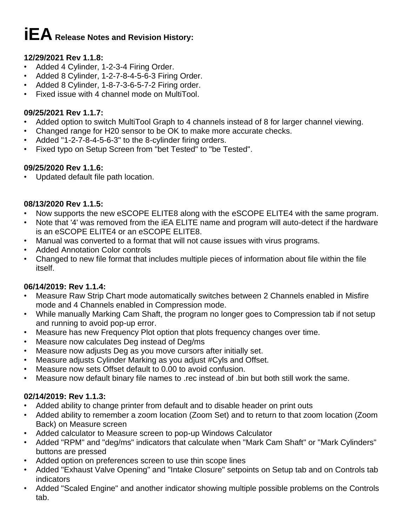# **iEARelease Notes and Revision History:**

# **12/29/2021 Rev 1.1.8:**

- Added 4 Cylinder, 1-2-3-4 Firing Order.
- Added 8 Cylinder, 1-2-7-8-4-5-6-3 Firing Order.
- Added 8 Cylinder, 1-8-7-3-6-5-7-2 Firing order.
- Fixed issue with 4 channel mode on MultiTool.

## **09/25/2021 Rev 1.1.7:**

- Added option to switch MultiTool Graph to 4 channels instead of 8 for larger channel viewing.
- Changed range for H20 sensor to be OK to make more accurate checks.
- Added "1-2-7-8-4-5-6-3" to the 8-cylinder firing orders.
- Fixed typo on Setup Screen from "bet Tested" to "be Tested".

## **09/25/2020 Rev 1.1.6:**

• Updated default file path location.

## **08/13/2020 Rev 1.1.5:**

- Now supports the new eSCOPE ELITE8 along with the eSCOPE ELITE4 with the same program.
- Note that '4' was removed from the iEA ELITE name and program will auto-detect if the hardware is an eSCOPE ELITE4 or an eSCOPE ELITE8.
- Manual was converted to a format that will not cause issues with virus programs.
- Added Annotation Color controls
- Changed to new file format that includes multiple pieces of information about file within the file itself.

## **06/14/2019: Rev 1.1.4:**

- Measure Raw Strip Chart mode automatically switches between 2 Channels enabled in Misfire mode and 4 Channels enabled in Compression mode.
- While manually Marking Cam Shaft, the program no longer goes to Compression tab if not setup and running to avoid pop-up error.
- Measure has new Frequency Plot option that plots frequency changes over time.
- Measure now calculates Deg instead of Deg/ms
- Measure now adjusts Deg as you move cursors after initially set.
- Measure adjusts Cylinder Marking as you adjust #Cyls and Offset.
- Measure now sets Offset default to 0.00 to avoid confusion.
- Measure now default binary file names to .rec instead of .bin but both still work the same.

## **02/14/2019: Rev 1.1.3:**

- Added ability to change printer from default and to disable header on print outs
- Added ability to remember a zoom location (Zoom Set) and to return to that zoom location (Zoom Back) on Measure screen
- Added calculator to Measure screen to pop-up Windows Calculator
- Added "RPM" and "deg/ms" indicators that calculate when "Mark Cam Shaft" or "Mark Cylinders" buttons are pressed
- Added option on preferences screen to use thin scope lines
- Added "Exhaust Valve Opening" and "Intake Closure" setpoints on Setup tab and on Controls tab indicators
- Added "Scaled Engine" and another indicator showing multiple possible problems on the Controls tab.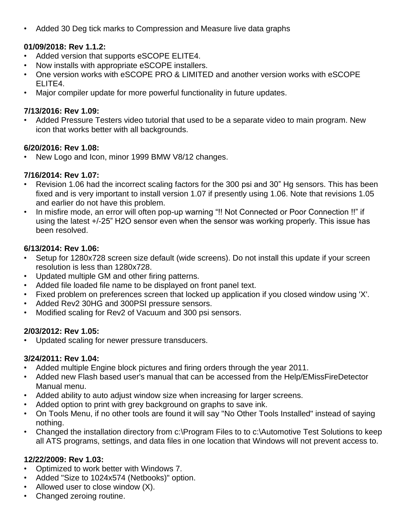• Added 30 Deg tick marks to Compression and Measure live data graphs

## **01/09/2018: Rev 1.1.2:**

- Added version that supports eSCOPE ELITE4.
- Now installs with appropriate eSCOPE installers.
- One version works with eSCOPE PRO & LIMITED and another version works with eSCOPE ELITE4.
- Major compiler update for more powerful functionality in future updates.

#### **7/13/2016: Rev 1.09:**

• Added Pressure Testers video tutorial that used to be a separate video to main program. New icon that works better with all backgrounds.

#### **6/20/2016: Rev 1.08:**

• New Logo and Icon, minor 1999 BMW V8/12 changes.

#### **7/16/2014: Rev 1.07:**

- Revision 1.06 had the incorrect scaling factors for the 300 psi and 30" Hg sensors. This has been fixed and is very important to install version 1.07 if presently using 1.06. Note that revisions 1.05 and earlier do not have this problem.
- In misfire mode, an error will often pop-up warning "!! Not Connected or Poor Connection !!" if using the latest +/-25" H2O sensor even when the sensor was working properly. This issue has been resolved.

#### **6/13/2014: Rev 1.06:**

- Setup for 1280x728 screen size default (wide screens). Do not install this update if your screen resolution is less than 1280x728.
- Updated multiple GM and other firing patterns.
- Added file loaded file name to be displayed on front panel text.
- Fixed problem on preferences screen that locked up application if you closed window using 'X'.
- Added Rev2 30HG and 300PSI pressure sensors.
- Modified scaling for Rev2 of Vacuum and 300 psi sensors.

## **2/03/2012: Rev 1.05:**

Updated scaling for newer pressure transducers.

## **3/24/2011: Rev 1.04:**

- Added multiple Engine block pictures and firing orders through the year 2011.
- Added new Flash based user's manual that can be accessed from the Help/EMissFireDetector Manual menu.
- Added ability to auto adjust window size when increasing for larger screens.
- Added option to print with grey background on graphs to save ink.
- On Tools Menu, if no other tools are found it will say "No Other Tools Installed" instead of saying nothing.
- Changed the installation directory from c:\Program Files to to c:\Automotive Test Solutions to keep all ATS programs, settings, and data files in one location that Windows will not prevent access to.

## **12/22/2009: Rev 1.03:**

- Optimized to work better with Windows 7.
- Added "Size to 1024x574 (Netbooks)" option.
- Allowed user to close window  $(X)$ .
- Changed zeroing routine.